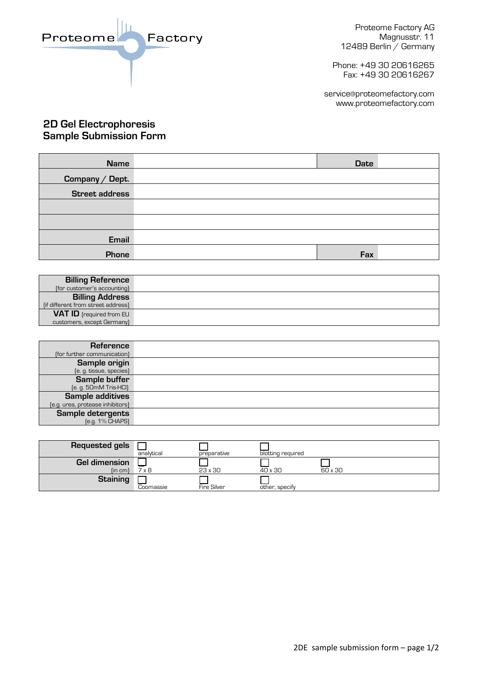Factory Proteome

Proteome Factory AG Magnusstr. 11 12489 Berlin / Germany

Phone: +49 30 20616265 Fax: +49 30 20616267

service@proteomefactory.com www.proteomefactory.com

## **2D Gel Electrophoresis Sample Submission Form**

| <b>Name</b>           | <b>Date</b> |
|-----------------------|-------------|
| Company / Dept.       |             |
| <b>Street address</b> |             |
|                       |             |
|                       |             |
| Email                 |             |
| Phone                 | Fax         |

| <b>Billing Reference</b>           |  |
|------------------------------------|--|
| (for customer's accounting)        |  |
| <b>Billing Address</b>             |  |
| [if different from street address] |  |
| <b>VAT ID</b> [required from EU    |  |
| customers, except Germany)         |  |

| <b>Reference</b>                 |  |
|----------------------------------|--|
| (for further communication)      |  |
| Sample origin                    |  |
| (e. g. tissue, species)          |  |
| Sample buffer                    |  |
| [e. g. 50mM Tris-HCI]            |  |
| <b>Sample additives</b>          |  |
| (e.g. urea, protease inhibitors) |  |
| Sample detergents                |  |
| [e.g. 1% CHAPS]                  |  |

| <b>Requested gels</b> | analytical | preparative | blotting reguired |         |
|-----------------------|------------|-------------|-------------------|---------|
| <b>Gel dimension</b>  |            |             |                   |         |
| (in cm)               | 7 x 8      | 23 x 30     | 40 x 30           | 60 x 30 |
| <b>Staining</b>       |            |             |                   |         |
|                       | Coomassie  | Fire Silver | other, specify    |         |